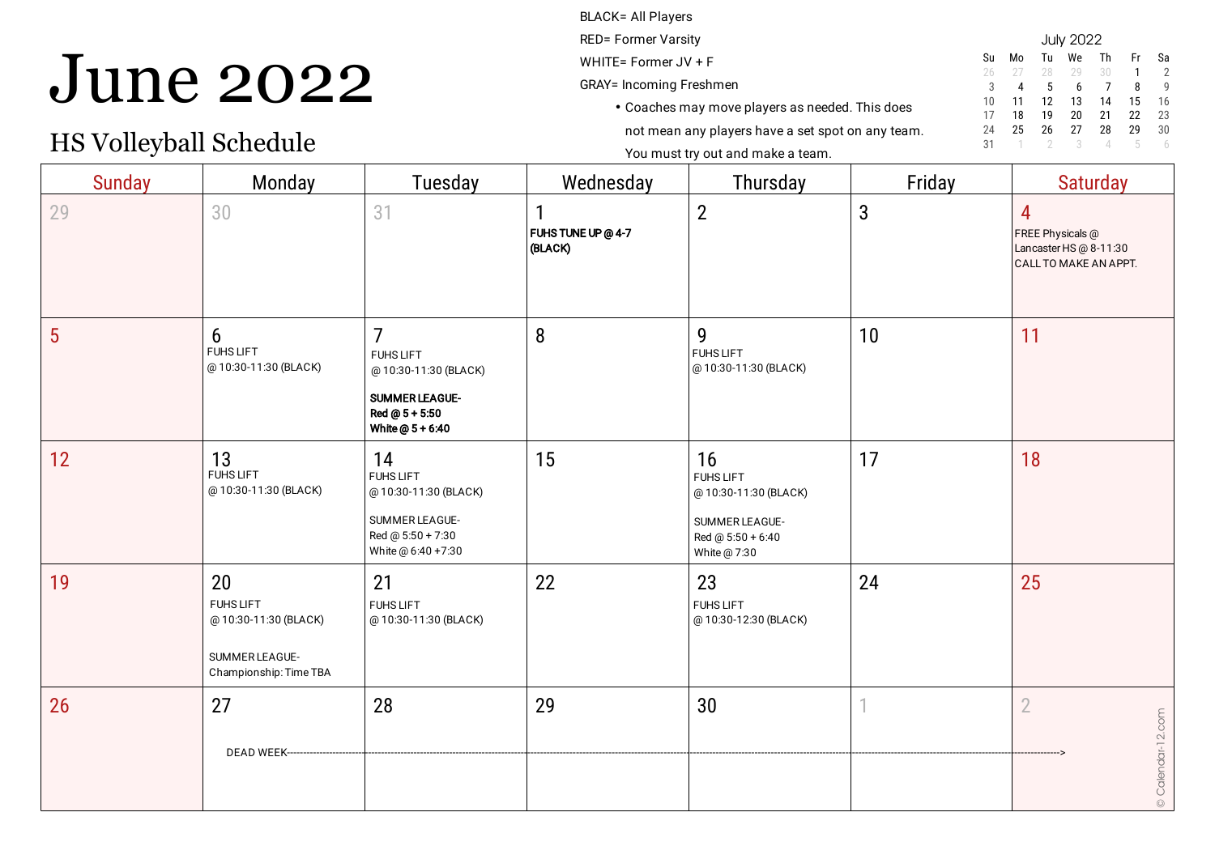### June 2022

#### HS Volleyball Schedule

BLACK= All Players RED= Former Varsity

- WHITE= Former JV + F
- GRAY= Incoming Freshmen
	- Coaches may move players as needed. This does not mean any players have a set spot on any team.

| <b>July 2022</b> |    |    |    |    |    |    |  |
|------------------|----|----|----|----|----|----|--|
| Su               | Mo | Tu | We | Th | Fr | Sa |  |
| 26               | 27 | 28 | 29 | 30 | 1  | 2  |  |
| 3                | 4  | 5  | 6  | 7  | 8  | g  |  |
| 10               | 11 | 12 | 13 | 14 | 15 | 16 |  |
| 17               | 18 | 19 | 20 | 21 | 22 | 23 |  |
| 24               | 25 | 26 | 27 | 28 | 29 | 30 |  |
| 31               |    |    | 3  |    | h  |    |  |

| You must try out and make a team. |  |
|-----------------------------------|--|
|-----------------------------------|--|

| <b>Sunday</b> | Monday                                                                                     | Tuesday                                                                                                                    | Wednesday                                     | Thursday                                                                                              | Friday       | <b>Saturday</b>                                                                       |
|---------------|--------------------------------------------------------------------------------------------|----------------------------------------------------------------------------------------------------------------------------|-----------------------------------------------|-------------------------------------------------------------------------------------------------------|--------------|---------------------------------------------------------------------------------------|
| 29            | 30                                                                                         | 31                                                                                                                         | $\mathbf{1}$<br>FUHS TUNE UP @ 4-7<br>(BLACK) | $\overline{2}$                                                                                        | $\mathbf{3}$ | $\overline{4}$<br>FREE Physicals @<br>Lancaster HS @ 8-11:30<br>CALL TO MAKE AN APPT. |
| 5             | $6\phantom{1}6$<br><b>FUHS LIFT</b><br>@10:30-11:30 (BLACK)                                | $\overline{7}$<br><b>FUHS LIFT</b><br>@10:30-11:30 (BLACK)<br><b>SUMMER LEAGUE-</b><br>Red @ 5 + 5:50<br>White $@5 + 6:40$ | 8                                             | 9<br><b>FUHS LIFT</b><br>@10:30-11:30 (BLACK)                                                         | 10           | 11                                                                                    |
| 12            | 13<br><b>FUHS LIFT</b><br>@10:30-11:30 (BLACK)                                             | 14<br><b>FUHS LIFT</b><br>@10:30-11:30 (BLACK)<br>SUMMER LEAGUE-<br>Red @ 5:50 + 7:30<br>White @ 6:40 +7:30                | 15                                            | 16<br><b>FUHS LIFT</b><br>@10:30-11:30 (BLACK)<br>SUMMER LEAGUE-<br>Red @ 5:50 + 6:40<br>White @ 7:30 | 17           | 18                                                                                    |
| 19            | 20<br><b>FUHS LIFT</b><br>@10:30-11:30 (BLACK)<br>SUMMER LEAGUE-<br>Championship: Time TBA | 21<br><b>FUHS LIFT</b><br>@10:30-11:30 (BLACK)                                                                             | 22                                            | 23<br>FUHS LIFT<br>@10:30-12:30 (BLACK)                                                               | 24           | 25                                                                                    |
| 26            | 27<br><b>DEAD WEEK-</b>                                                                    | 28                                                                                                                         | 29                                            | 30                                                                                                    | 1            | $\overline{2}$<br>© Calendar-12.com                                                   |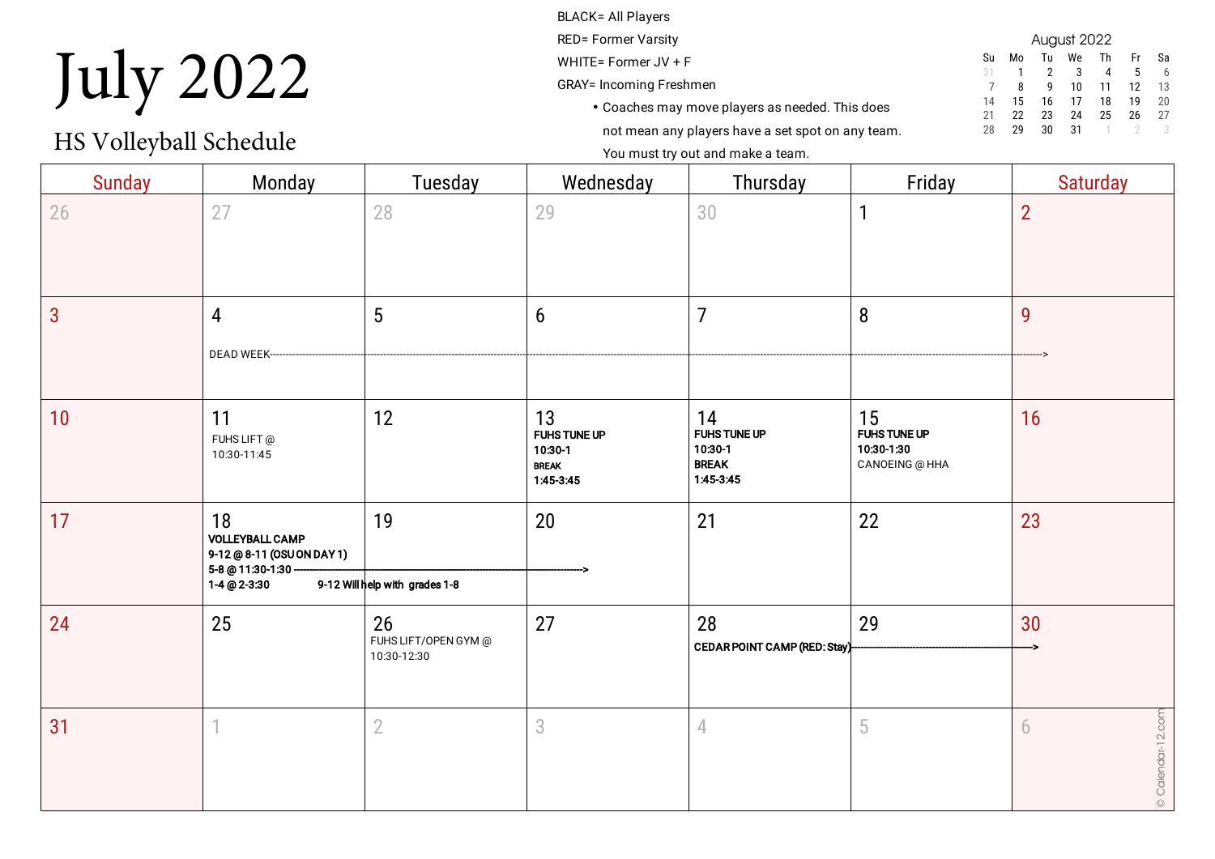# July 2022

HS Volleyball Schedule

BLACK= All Players RED= Former Varsity WHITE= Former JV + F GRAY= Incoming Freshmen • Coaches may move players as needed. This does not mean any players have a set spot on any team.

| August 2022 |    |    |    |    |    |    |  |
|-------------|----|----|----|----|----|----|--|
| Su          | M٥ | Tu | We | Th | Fr | Sa |  |
| 31          |    | 2  | 3  | 4  | 5  | 6  |  |
|             | 8  | q  | 10 | 11 | 12 | 13 |  |
| 14          | 15 | 16 | 17 | 18 | 19 | 20 |  |
| 21          | 22 | 23 | 24 | 25 | 26 | 27 |  |
| 28          | 29 | 30 | 31 |    |    | २  |  |

#### You must try out and make a team.

| <b>Sunday</b> | Monday                                                                           | Tuesday                                   | Wednesday                                                         | Thursday                                                          | Friday                                             | <b>Saturday</b>        |
|---------------|----------------------------------------------------------------------------------|-------------------------------------------|-------------------------------------------------------------------|-------------------------------------------------------------------|----------------------------------------------------|------------------------|
| 26            | 27                                                                               | 28                                        | 29                                                                | 30                                                                | $\mathbf{1}$                                       | $\overline{2}$         |
| 3             | 4<br><b>DEAD WEEK--</b>                                                          | $5\phantom{.0}$                           | $6\phantom{1}$                                                    | $\overline{7}$                                                    | $8\phantom{1}$                                     | 9                      |
| 10            | 11<br>FUHS LIFT@<br>10:30-11:45                                                  | 12                                        | 13<br><b>FUHS TUNE UP</b><br>10:30-1<br><b>BREAK</b><br>1:45-3:45 | 14<br><b>FUHS TUNE UP</b><br>10:30-1<br><b>BREAK</b><br>1:45-3:45 | 15<br>FUHS TUNE UP<br>10:30-1:30<br>CANOEING @ HHA | 16                     |
| 17            | 18<br><b>VOLLEYBALL CAMP</b><br>9-12 @ 8-11 (OSU ON DAY 1)<br>5-8 @ 11:30-1:30 - | 19                                        | 20                                                                | 21                                                                | 22                                                 | 23                     |
|               | $1 - 4 \oplus 2 - 3:30$                                                          | 9-12 Will help with grades 1-8            |                                                                   |                                                                   |                                                    |                        |
| 24            | 25                                                                               | 26<br>FUHS LIFT/OPEN GYM @<br>10:30-12:30 | 27                                                                | 28<br>CEDAR POINT CAMP (RED: Stay)-                               | 29                                                 | 30                     |
| 31            |                                                                                  | $\overline{2}$                            | 3                                                                 | 4                                                                 | 5                                                  | © Calendar-12.com<br>6 |